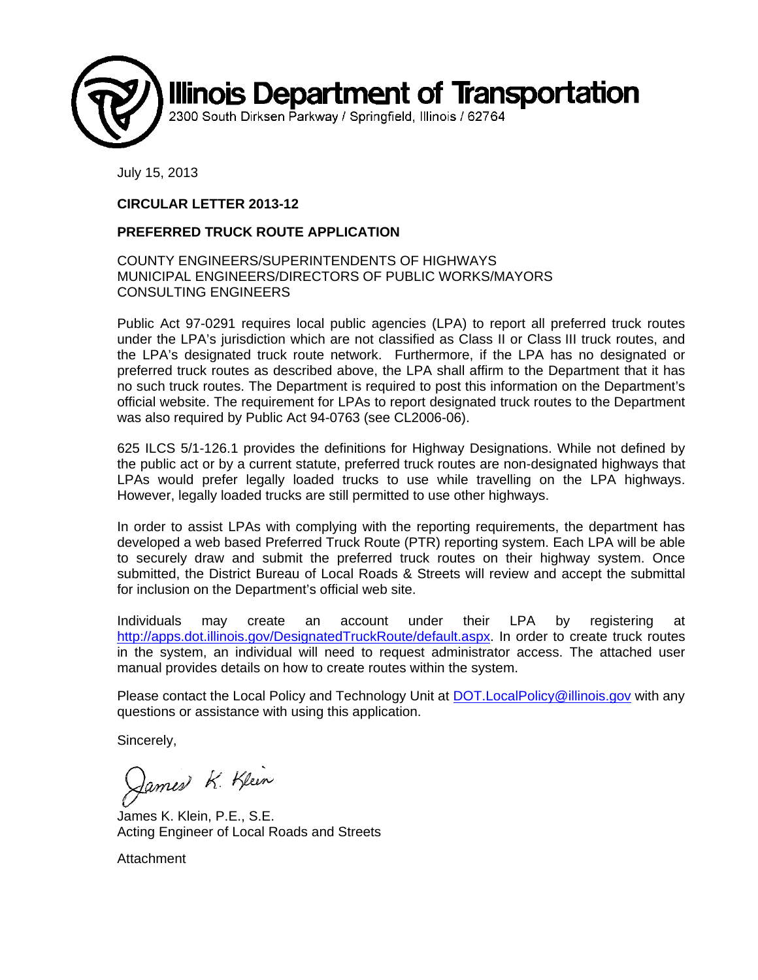

July 15, 2013

#### **CIRCULAR LETTER 2013-12**

#### **PREFERRED TRUCK ROUTE APPLICATION**

#### COUNTY ENGINEERS/SUPERINTENDENTS OF HIGHWAYS MUNICIPAL ENGINEERS/DIRECTORS OF PUBLIC WORKS/MAYORS CONSULTING ENGINEERS

Public Act 97-0291 requires local public agencies (LPA) to report all preferred truck routes under the LPA's jurisdiction which are not classified as Class II or Class III truck routes, and the LPA's designated truck route network. Furthermore, if the LPA has no designated or preferred truck routes as described above, the LPA shall affirm to the Department that it has no such truck routes. The Department is required to post this information on the Department's official website. The requirement for LPAs to report designated truck routes to the Department was also required by Public Act 94-0763 (see CL2006-06).

625 ILCS 5/1-126.1 provides the definitions for Highway Designations. While not defined by the public act or by a current statute, preferred truck routes are non-designated highways that LPAs would prefer legally loaded trucks to use while travelling on the LPA highways. However, legally loaded trucks are still permitted to use other highways.

In order to assist LPAs with complying with the reporting requirements, the department has developed a web based Preferred Truck Route (PTR) reporting system. Each LPA will be able to securely draw and submit the preferred truck routes on their highway system. Once submitted, the District Bureau of Local Roads & Streets will review and accept the submittal for inclusion on the Department's official web site.

Individuals may create an account under their LPA by registering at http://apps.dot.illinois.gov/DesignatedTruckRoute/default.aspx. In order to create truck routes in the system, an individual will need to request administrator access. The attached user manual provides details on how to create routes within the system.

Please contact the Local Policy and Technology Unit at **DOT. Local Policy@illinois.gov** with any questions or assistance with using this application.

Sincerely,

James K. Klein

James K. Klein, P.E., S.E. Acting Engineer of Local Roads and Streets

Attachment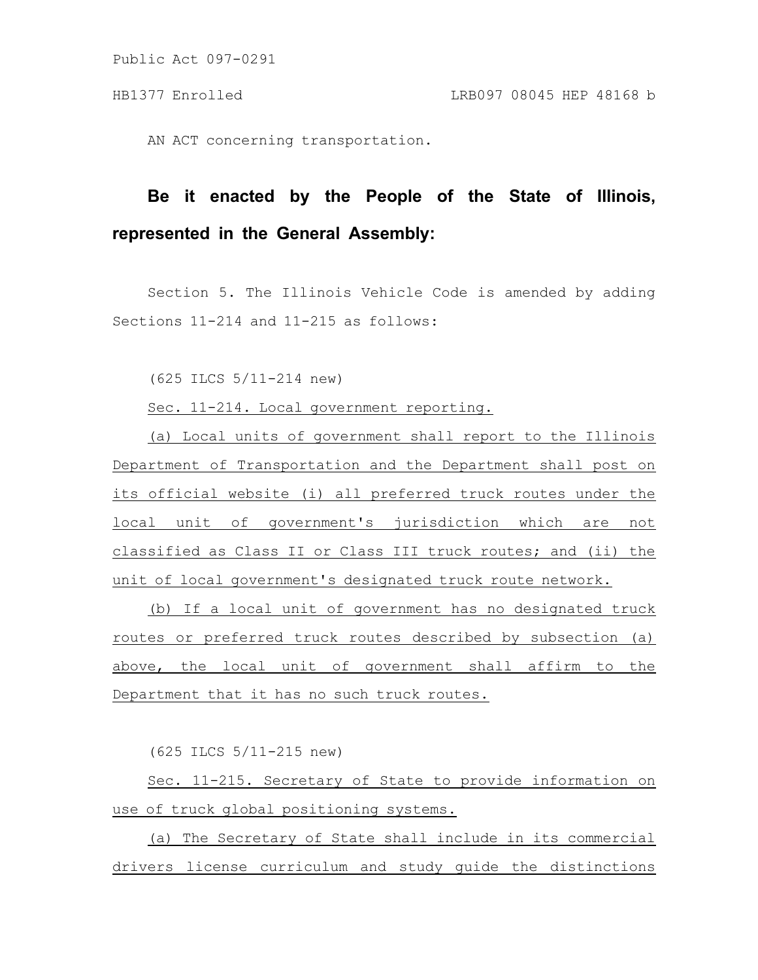Public Act 097-0291

AN ACT concerning transportation.

## **Be it enacted by the People of the State of Illinois, represented in the General Assembly:**

Section 5. The Illinois Vehicle Code is amended by adding Sections 11-214 and 11-215 as follows:

(625 ILCS 5/11-214 new)

Sec. 11-214. Local government reporting.

(a) Local units of government shall report to the Illinois Department of Transportation and the Department shall post on its official website (i) all preferred truck routes under the local unit of government's jurisdiction which are not classified as Class II or Class III truck routes; and (ii) the unit of local government's designated truck route network.

(b) If a local unit of government has no designated truck routes or preferred truck routes described by subsection (a) above, the local unit of government shall affirm to the Department that it has no such truck routes.

(625 ILCS 5/11-215 new)

Sec. 11-215. Secretary of State to provide information on use of truck global positioning systems.

(a) The Secretary of State shall include in its commercial drivers license curriculum and study guide the distinctions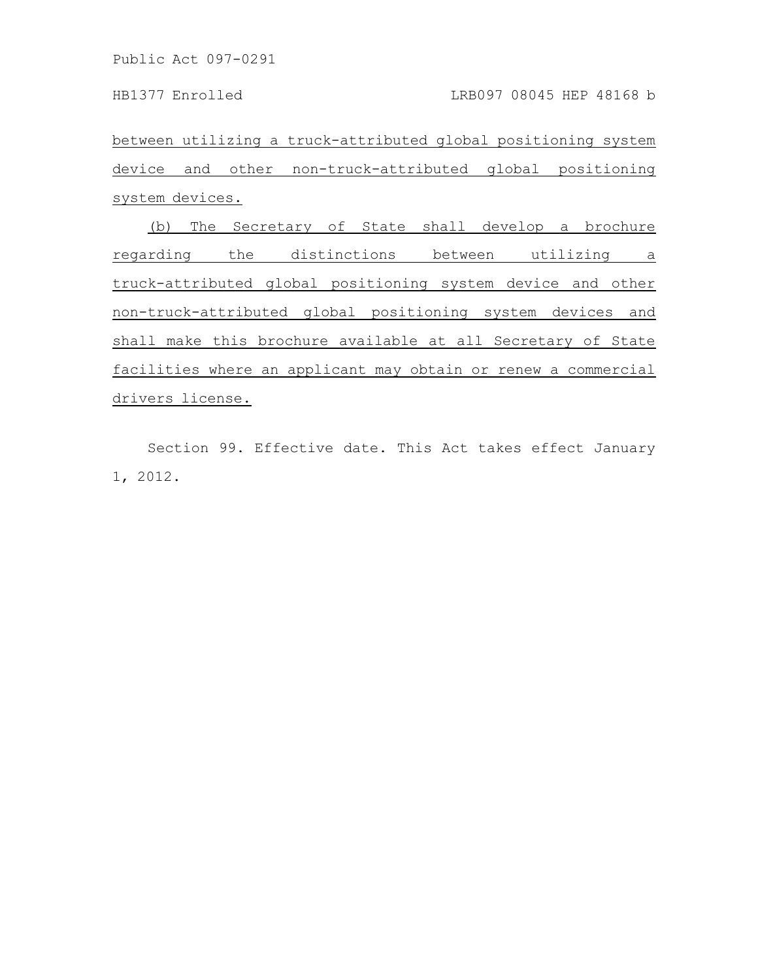Public Act 097-0291

between utilizing a truck-attributed global positioning system device and other non-truck-attributed global positioning system devices.

(b) The Secretary of State shall develop a brochure regarding the distinctions between utilizing a truck-attributed global positioning system device and other non-truck-attributed global positioning system devices and shall make this brochure available at all Secretary of State facilities where an applicant may obtain or renew a commercial drivers license.

Section 99. Effective date. This Act takes effect January 1, 2012.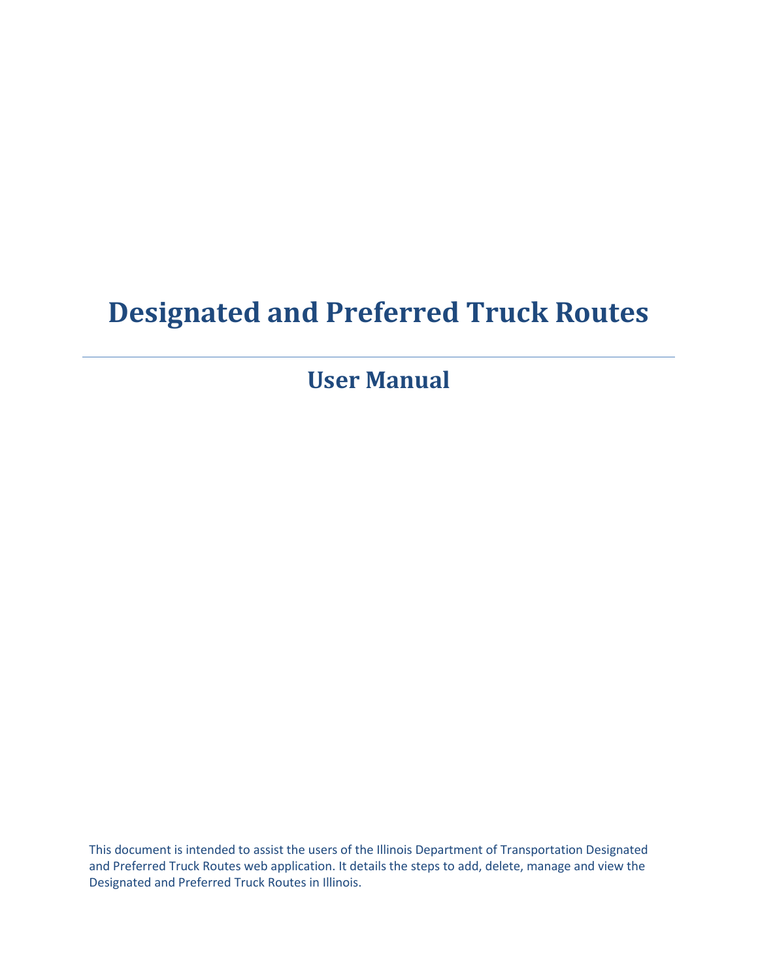# **Designated and Preferred Truck Routes**

**User Manual**

This document is intended to assist the users of the Illinois Department of Transportation Designated and Preferred Truck Routes web application. It details the steps to add, delete, manage and view the Designated and Preferred Truck Routes in Illinois.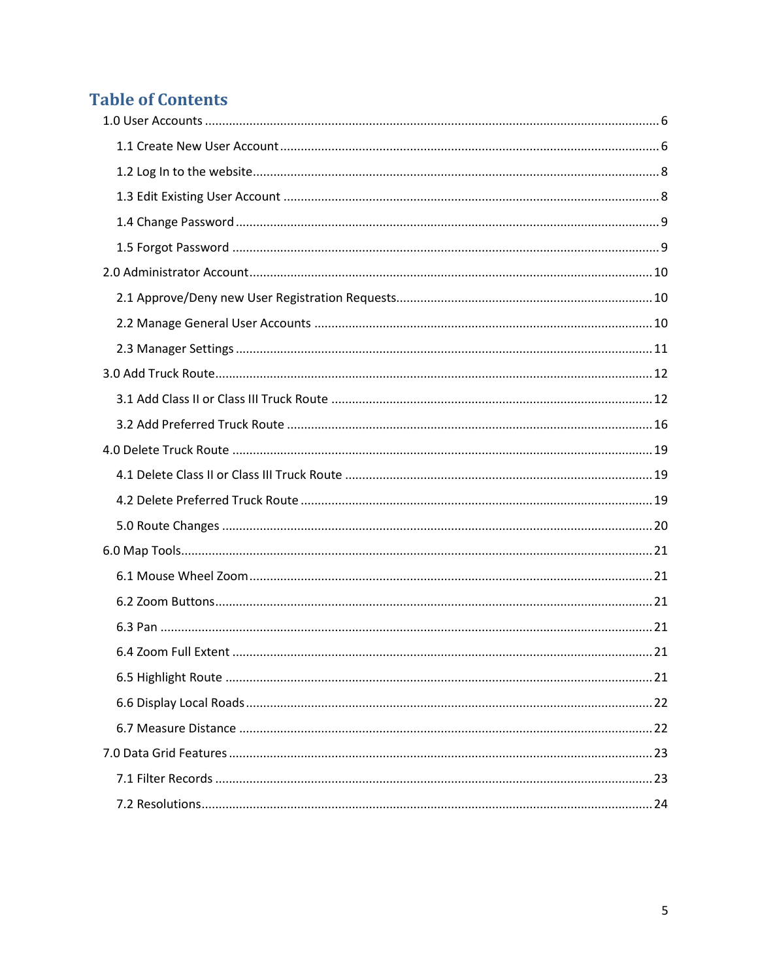### **Table of Contents**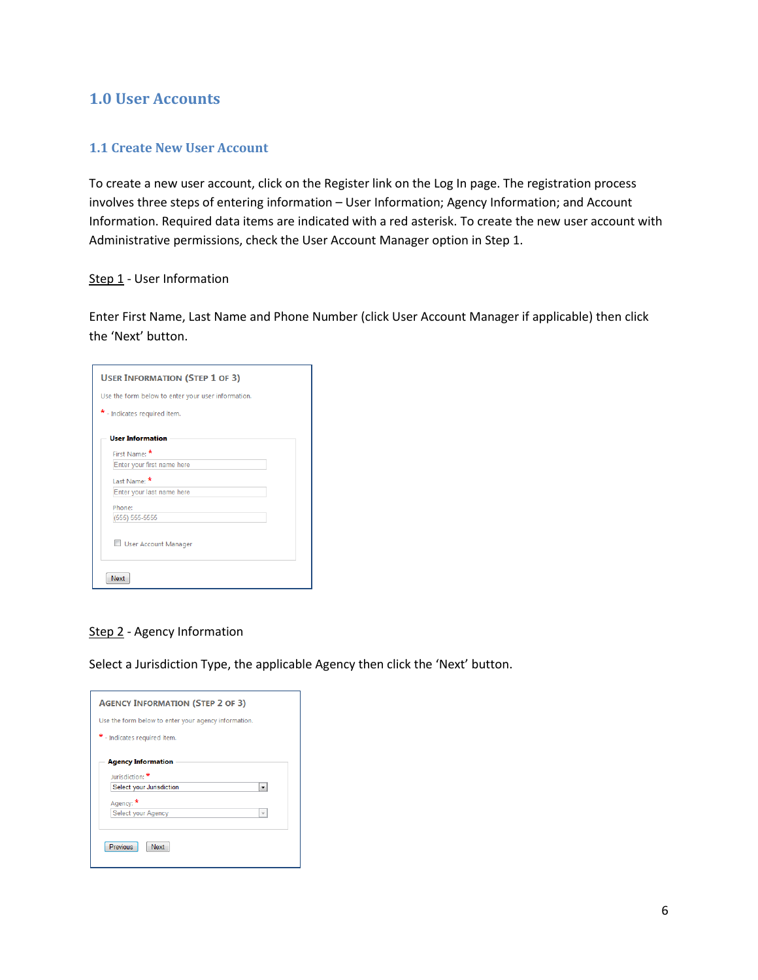#### <span id="page-6-0"></span>**1.0 User Accounts**

#### <span id="page-6-1"></span>**1.1 Create New User Account**

To create a new user account, click on the Register link on the Log In page. The registration process involves three steps of entering information – User Information; Agency Information; and Account Information. Required data items are indicated with a red asterisk. To create the new user account with Administrative permissions, check the User Account Manager option in Step 1.

#### Step 1 - User Information

Enter First Name, Last Name and Phone Number (click User Account Manager if applicable) then click the 'Next' button.

| <b>USER INFORMATION (STEP 1 OF 3)</b>              |
|----------------------------------------------------|
| Use the form below to enter your user information. |
| * - Indicates required item.                       |
| <b>User Information</b><br>First Name:             |
| Enter your first name here                         |
| Last Name: *                                       |
| Enter your last name here                          |
| Phone:                                             |
| (555) 555-5555                                     |
| User Account Manager                               |
| Next                                               |

#### Step 2 - Agency Information

Select a Jurisdiction Type, the applicable Agency then click the 'Next' button.

| <b>AGENCY INFORMATION (STEP 2 OF 3)</b>              |
|------------------------------------------------------|
| Use the form below to enter your agency information. |
| * - Indicates required item.                         |
| <b>Agency Information</b><br>Jurisdiction:           |
| Select your Jurisdiction                             |
| Agency:                                              |
| Select your Agency<br>v                              |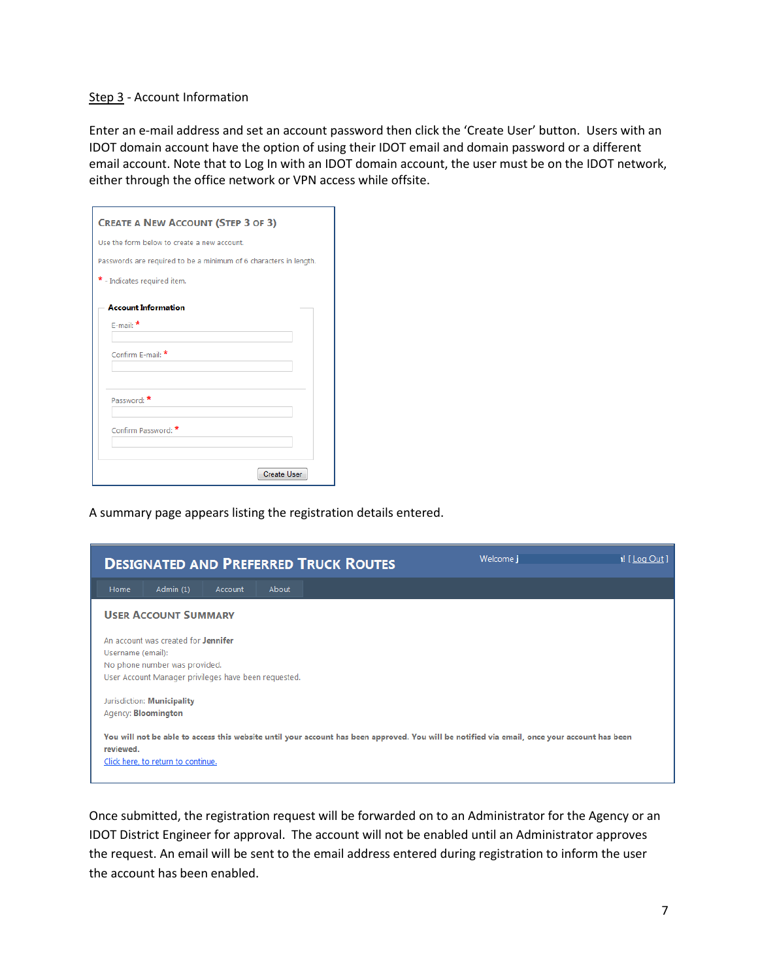#### Step 3 - Account Information

Enter an e-mail address and set an account password then click the 'Create User' button. Users with an IDOT domain account have the option of using their IDOT email and domain password or a different email account. Note that to Log In with an IDOT domain account, the user must be on the IDOT network, either through the office network or VPN access while offsite.

| <b>CREATE A NEW ACCOUNT (STEP 3 OF 3)</b>                         |
|-------------------------------------------------------------------|
| Use the form below to create a new account.                       |
| Passwords are required to be a minimum of 6 characters in length. |
| * - Indicates required item.                                      |
| <b>Account Information</b><br>$F$ -mail: $*$<br>Confirm F-mail: * |
| Password:<br>Confirm Password: *                                  |
| <b>Create User</b>                                                |

A summary page appears listing the registration details entered.



Once submitted, the registration request will be forwarded on to an Administrator for the Agency or an IDOT District Engineer for approval. The account will not be enabled until an Administrator approves the request. An email will be sent to the email address entered during registration to inform the user the account has been enabled.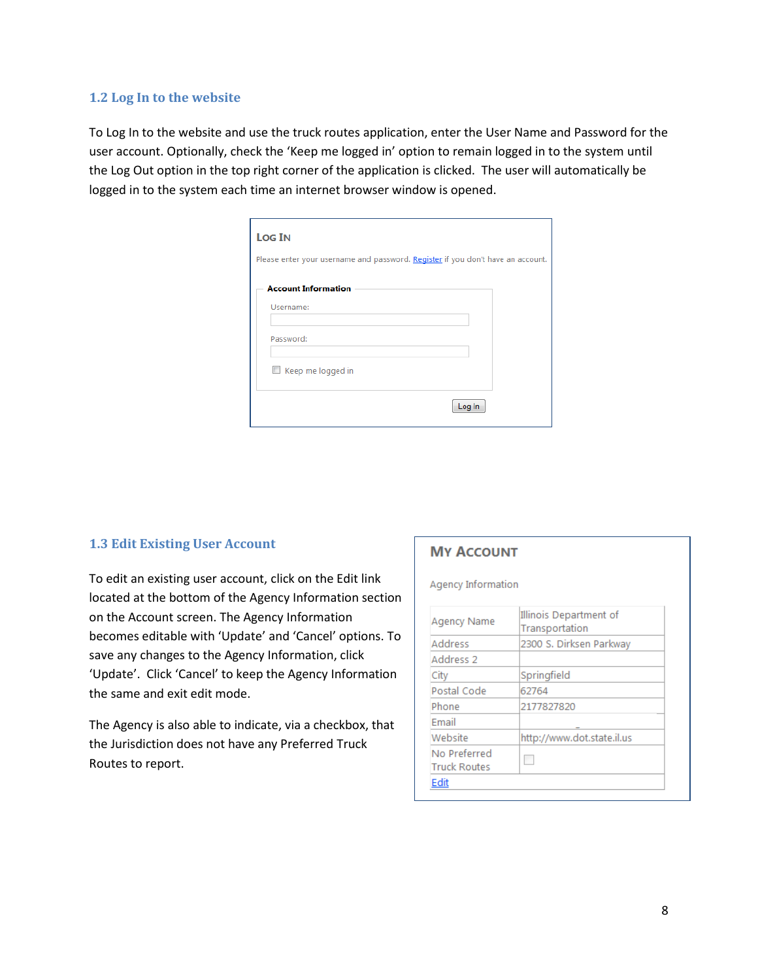#### <span id="page-8-0"></span>**1.2 Log In to the website**

To Log In to the website and use the truck routes application, enter the User Name and Password for the user account. Optionally, check the 'Keep me logged in' option to remain logged in to the system until the Log Out option in the top right corner of the application is clicked. The user will automatically be logged in to the system each time an internet browser window is opened.

| <b>Log IN</b>                                                                   |  |        |
|---------------------------------------------------------------------------------|--|--------|
| Please enter your username and password. Register if you don't have an account. |  |        |
| <b>Account Information</b>                                                      |  |        |
| Username:                                                                       |  |        |
|                                                                                 |  |        |
| Password:                                                                       |  |        |
|                                                                                 |  |        |
| Keep me logged in                                                               |  |        |
|                                                                                 |  |        |
|                                                                                 |  | Log In |

#### <span id="page-8-1"></span>**1.3 Edit Existing User Account**

To edit an existing user account, click on the Edit link located at the bottom of the Agency Information section on the Account screen. The Agency Information becomes editable with 'Update' and 'Cancel' options. To save any changes to the Agency Information, click 'Update'. Click 'Cancel' to keep the Agency Information the same and exit edit mode.

The Agency is also able to indicate, via a checkbox, that the Jurisdiction does not have any Preferred Truck Routes to report.

#### **MY ACCOUNT**

**Agency Information** 

| <b>Agency Name</b>                  | Illinois Department of<br>Transportation |
|-------------------------------------|------------------------------------------|
| <b>Address</b>                      | 2300 S. Dirksen Parkway                  |
| Address 2                           |                                          |
| City                                | Springfield                              |
| Postal Code                         | 62764                                    |
| Phone                               | 2177827820                               |
| Fmail                               |                                          |
| Website                             | http://www.dot.state.il.us               |
| No Preferred<br><b>Truck Routes</b> |                                          |
| Edit                                |                                          |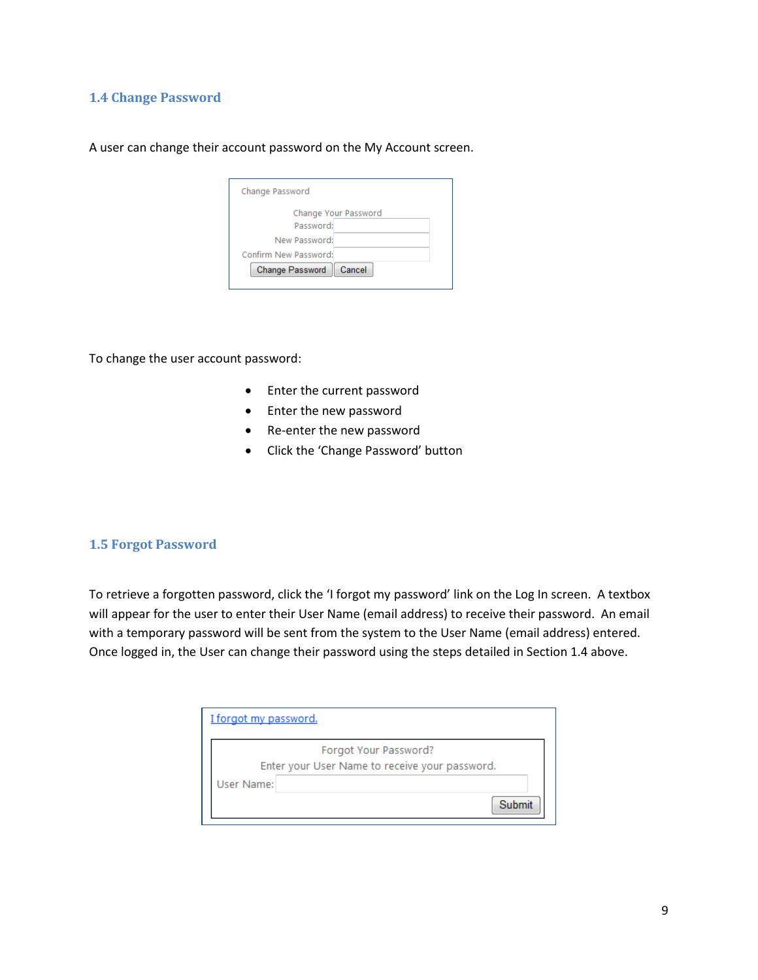#### <span id="page-9-0"></span>**1.4 Change Password**

A user can change their account password on the My Account screen.

| Change Password           |  |
|---------------------------|--|
| Change Your Password      |  |
| Password:                 |  |
| New Password:             |  |
| Confirm New Password:     |  |
| Change Password<br>Cancel |  |
|                           |  |

To change the user account password:

- Enter the current password
- Enter the new password
- Re-enter the new password
- Click the 'Change Password' button

#### <span id="page-9-1"></span>**1.5 Forgot Password**

To retrieve a forgotten password, click the 'I forgot my password' link on the Log In screen. A textbox will appear for the user to enter their User Name (email address) to receive their password. An email with a temporary password will be sent from the system to the User Name (email address) entered. Once logged in, the User can change their password using the steps detailed in Section 1.4 above.

| I forgot my password. |                                                                         |
|-----------------------|-------------------------------------------------------------------------|
|                       | Forgot Your Password?<br>Enter your User Name to receive your password. |
| User Name:            |                                                                         |
|                       | Submit                                                                  |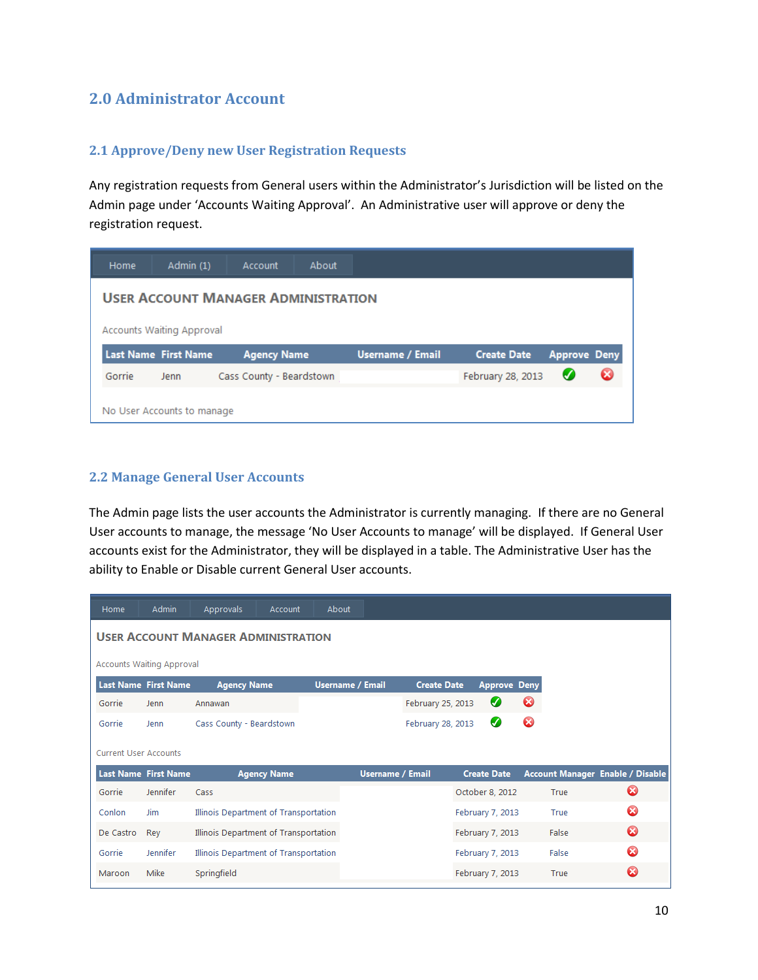#### <span id="page-10-0"></span>**2.0 Administrator Account**

#### <span id="page-10-1"></span>**2.1 Approve/Deny new User Registration Requests**

Any registration requests from General users within the Administrator's Jurisdiction will be listed on the Admin page under 'Accounts Waiting Approval'. An Administrative user will approve or deny the registration request.

| Home   | Admin (1)                        | Account                                    | About |                         |                    |                     |  |
|--------|----------------------------------|--------------------------------------------|-------|-------------------------|--------------------|---------------------|--|
|        |                                  | <b>USER ACCOUNT MANAGER ADMINISTRATION</b> |       |                         |                    |                     |  |
|        | <b>Accounts Waiting Approval</b> |                                            |       |                         |                    |                     |  |
|        |                                  |                                            |       |                         |                    |                     |  |
|        | <b>Last Name First Name</b>      | <b>Agency Name</b>                         |       | <b>Username / Email</b> | <b>Create Date</b> | <b>Approve Deny</b> |  |
| Gorrie | Jenn                             | Cass County - Beardstown                   |       |                         | February 28, 2013  | U                   |  |

#### <span id="page-10-2"></span>**2.2 Manage General User Accounts**

The Admin page lists the user accounts the Administrator is currently managing. If there are no General User accounts to manage, the message 'No User Accounts to manage' will be displayed. If General User accounts exist for the Administrator, they will be displayed in a table. The Administrative User has the ability to Enable or Disable current General User accounts.

| Home                         | <b>Admin</b>                     | Approvals                                  | Account            | About                   |                         |                    |                     |   |       |                                  |
|------------------------------|----------------------------------|--------------------------------------------|--------------------|-------------------------|-------------------------|--------------------|---------------------|---|-------|----------------------------------|
|                              |                                  | <b>USER ACCOUNT MANAGER ADMINISTRATION</b> |                    |                         |                         |                    |                     |   |       |                                  |
|                              | <b>Accounts Waiting Approval</b> |                                            |                    |                         |                         |                    |                     |   |       |                                  |
|                              | Last Name First Name             | <b>Agency Name</b>                         |                    | <b>Username / Email</b> |                         | <b>Create Date</b> | <b>Approve Deny</b> |   |       |                                  |
| Gorrie                       | Jenn                             | Annawan                                    |                    |                         |                         | February 25, 2013  | Ø                   | Ø |       |                                  |
| Gorrie                       | Jenn                             | Cass County - Beardstown                   |                    |                         |                         | February 28, 2013  | Ø                   | ೞ |       |                                  |
| <b>Current User Accounts</b> |                                  |                                            |                    |                         |                         |                    |                     |   |       |                                  |
|                              | <b>Last Name First Name</b>      |                                            | <b>Agency Name</b> |                         | <b>Username / Email</b> |                    | <b>Create Date</b>  |   |       | Account Manager Enable / Disable |
| Gorrie                       | Jennifer                         | Cass                                       |                    |                         |                         |                    | October 8, 2012     |   | True  | ೞ                                |
| Conlon                       | <b>Jim</b>                       | Illinois Department of Transportation      |                    |                         |                         |                    | February 7, 2013    |   | True  | ☎                                |
| De Castro                    | Rey                              | Illinois Department of Transportation      |                    |                         |                         |                    | February 7, 2013    |   | False | $\boldsymbol{\Omega}$            |
| Gorrie                       | Jennifer                         | Illinois Department of Transportation      |                    |                         |                         |                    | February 7, 2013    |   | False | Ω                                |
| Maroon                       | Mike                             | Springfield                                |                    |                         |                         |                    | February 7, 2013    |   | True  | Ø                                |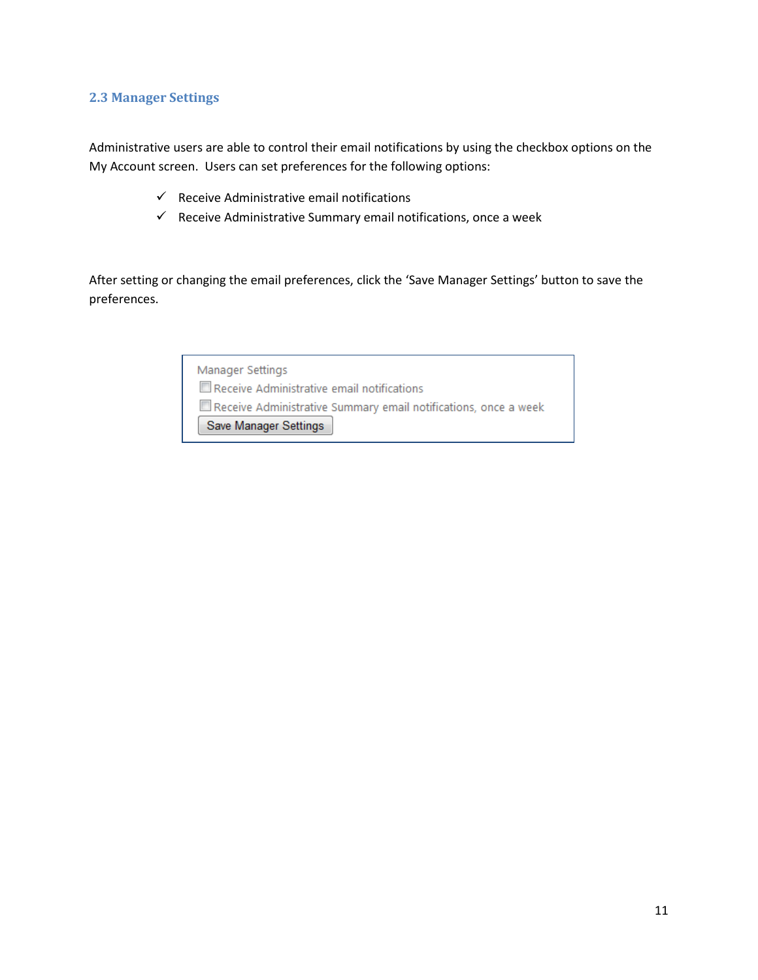#### <span id="page-11-0"></span>**2.3 Manager Settings**

Administrative users are able to control their email notifications by using the checkbox options on the My Account screen. Users can set preferences for the following options:

- $\checkmark$  Receive Administrative email notifications
- $\checkmark$  Receive Administrative Summary email notifications, once a week

After setting or changing the email preferences, click the 'Save Manager Settings' button to save the preferences.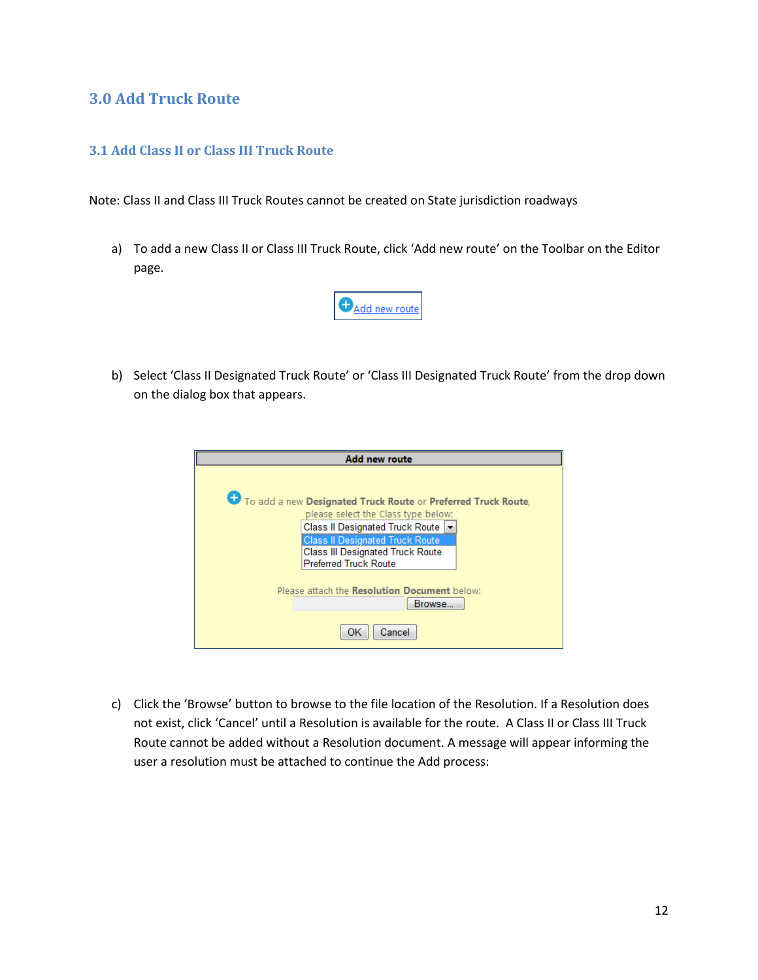#### <span id="page-12-0"></span>**3.0 Add Truck Route**

#### <span id="page-12-1"></span>**3.1 Add Class II or Class III Truck Route**

Note: Class II and Class III Truck Routes cannot be created on State jurisdiction roadways

a) To add a new Class II or Class III Truck Route, click 'Add new route' on the Toolbar on the Editor page.



b) Select 'Class II Designated Truck Route' or 'Class III Designated Truck Route' from the drop down on the dialog box that appears.

| <b>Add new route</b>                                          |
|---------------------------------------------------------------|
|                                                               |
|                                                               |
| To add a new Designated Truck Route or Preferred Truck Route, |
| please select the Class type below:                           |
| Class II Designated Truck Route                               |
| <b>Class II Designated Truck Route</b>                        |
| <b>Class III Designated Truck Route</b>                       |
| <b>Preferred Truck Route</b>                                  |
|                                                               |
| Please attach the <b>Resolution Document</b> below:           |
| Browse                                                        |
| Cancel<br>ОK                                                  |

c) Click the 'Browse' button to browse to the file location of the Resolution. If a Resolution does not exist, click 'Cancel' until a Resolution is available for the route. A Class II or Class III Truck Route cannot be added without a Resolution document. A message will appear informing the user a resolution must be attached to continue the Add process: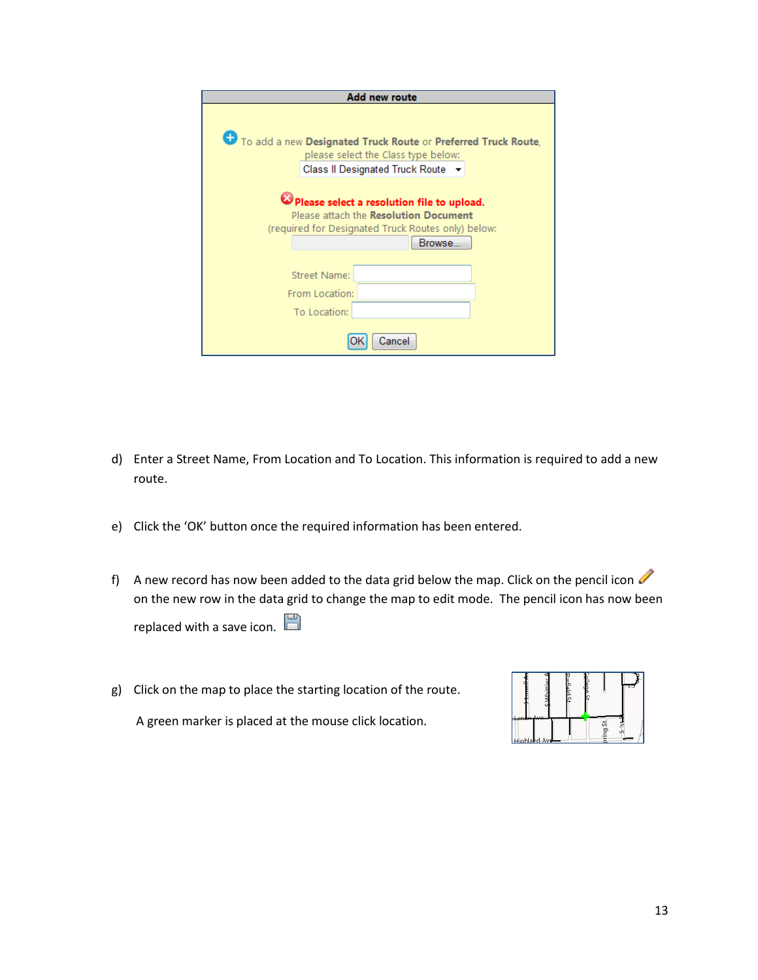| Add new route                                                 |
|---------------------------------------------------------------|
|                                                               |
|                                                               |
| To add a new Designated Truck Route or Preferred Truck Route, |
| please select the Class type below:                           |
| Class II Designated Truck Route ▼                             |
|                                                               |
|                                                               |
| Please select a resolution file to upload.                    |
| Please attach the <b>Resolution Document</b>                  |
| (required for Designated Truck Routes only) below:            |
| Browse                                                        |
|                                                               |
| <b>Street Name:</b>                                           |
| From Location:                                                |
| To Location:                                                  |
|                                                               |
| Cancel                                                        |

- d) Enter a Street Name, From Location and To Location. This information is required to add a new route.
- e) Click the 'OK' button once the required information has been entered.
- f) A new record has now been added to the data grid below the map. Click on the pencil icon on the new row in the data grid to change the map to edit mode. The pencil icon has now been replaced with a save icon.
- g) Click on the map to place the starting location of the route.

A green marker is placed at the mouse click location.

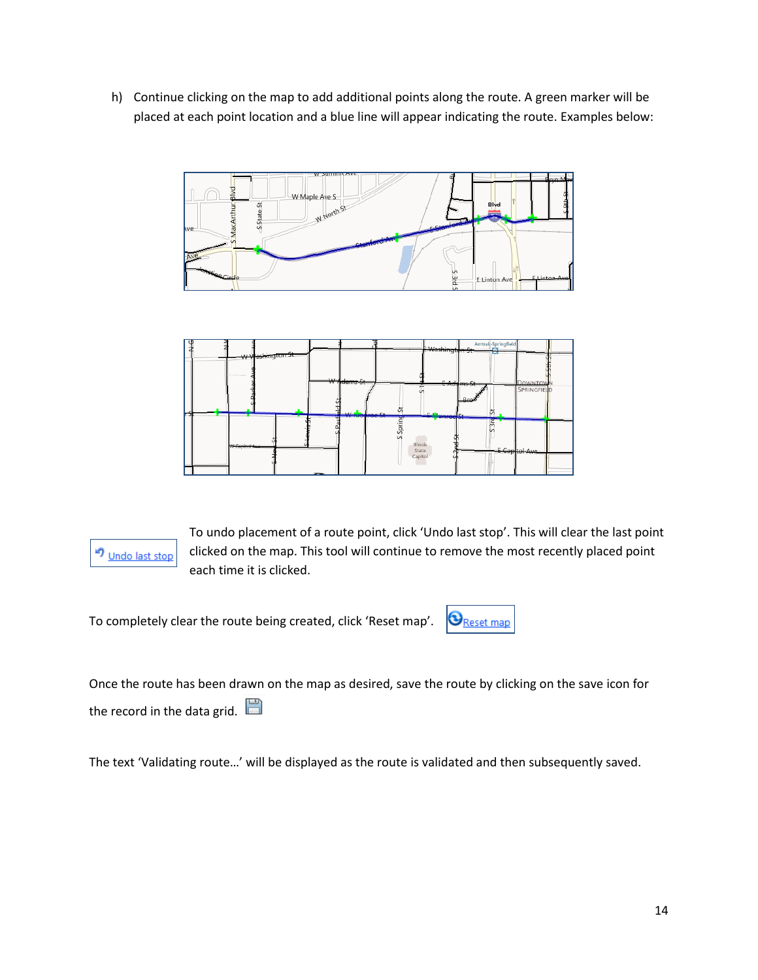h) Continue clicking on the map to add additional points along the route. A green marker will be placed at each point location and a blue line will appear indicating the route. Examples below:







To undo placement of a route point, click 'Undo last stop'. This will clear the last point clicked on the map. This tool will continue to remove the most recently placed point each time it is clicked.

To completely clear the route being created, click 'Reset map'.



Once the route has been drawn on the map as desired, save the route by clicking on the save icon for the record in the data grid.

The text 'Validating route…' will be displayed as the route is validated and then subsequently saved.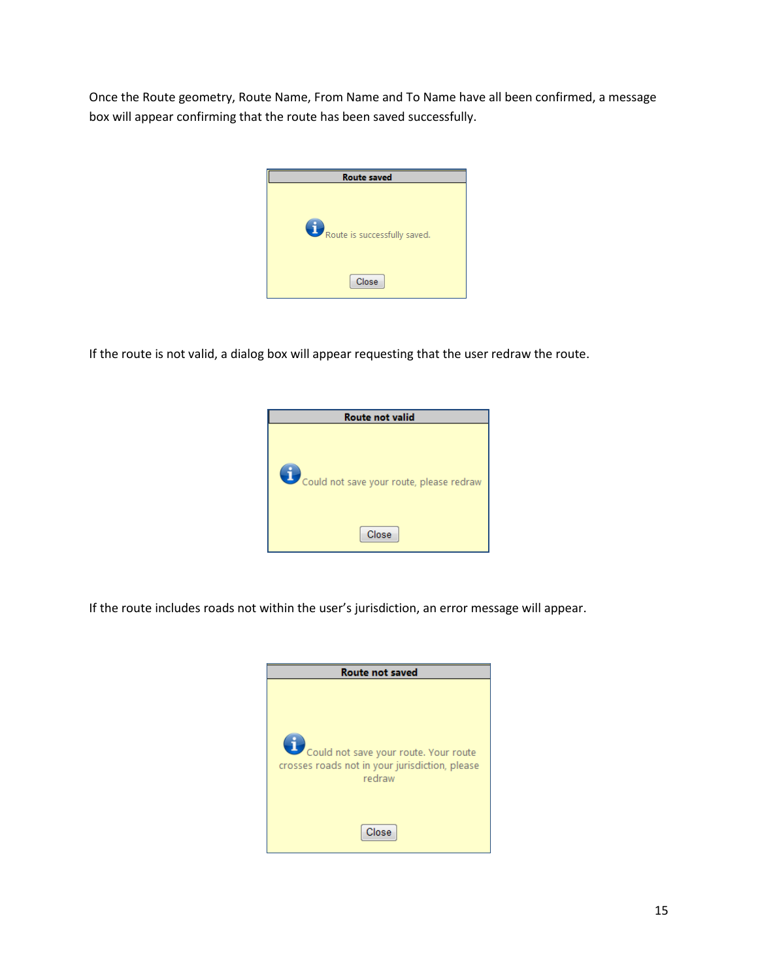Once the Route geometry, Route Name, From Name and To Name have all been confirmed, a message box will appear confirming that the route has been saved successfully.



If the route is not valid, a dialog box will appear requesting that the user redraw the route.



If the route includes roads not within the user's jurisdiction, an error message will appear.

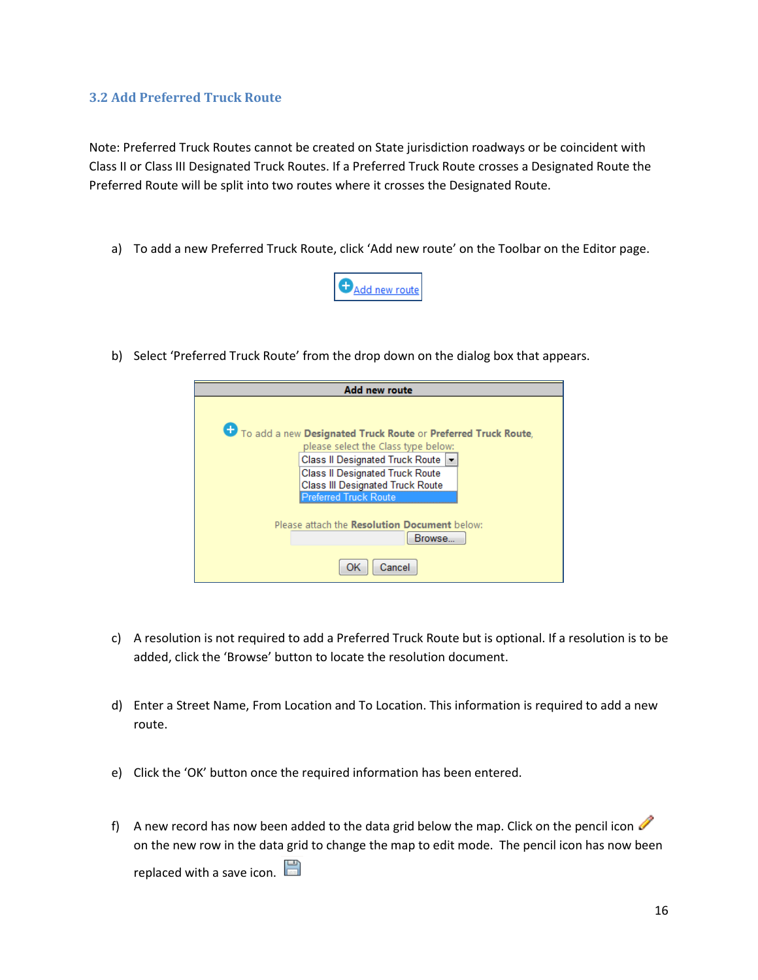#### <span id="page-16-0"></span>**3.2 Add Preferred Truck Route**

Note: Preferred Truck Routes cannot be created on State jurisdiction roadways or be coincident with Class II or Class III Designated Truck Routes. If a Preferred Truck Route crosses a Designated Route the Preferred Route will be split into two routes where it crosses the Designated Route.

a) To add a new Preferred Truck Route, click 'Add new route' on the Toolbar on the Editor page.



b) Select 'Preferred Truck Route' from the drop down on the dialog box that appears.

| <b>Add new route</b>                                                                                                                                                                                                                                     |
|----------------------------------------------------------------------------------------------------------------------------------------------------------------------------------------------------------------------------------------------------------|
| To add a new Designated Truck Route or Preferred Truck Route,<br>please select the Class type below:<br>Class II Designated Truck Route  ▼<br>Class II Designated Truck Route<br><b>Class III Designated Truck Route</b><br><b>Preferred Truck Route</b> |
| Please attach the Resolution Document below:<br>Browse                                                                                                                                                                                                   |
| Cancel<br>OK                                                                                                                                                                                                                                             |

- c) A resolution is not required to add a Preferred Truck Route but is optional. If a resolution is to be added, click the 'Browse' button to locate the resolution document.
- d) Enter a Street Name, From Location and To Location. This information is required to add a new route.
- e) Click the 'OK' button once the required information has been entered.
- f) A new record has now been added to the data grid below the map. Click on the pencil icon on the new row in the data grid to change the map to edit mode. The pencil icon has now been replaced with a save icon.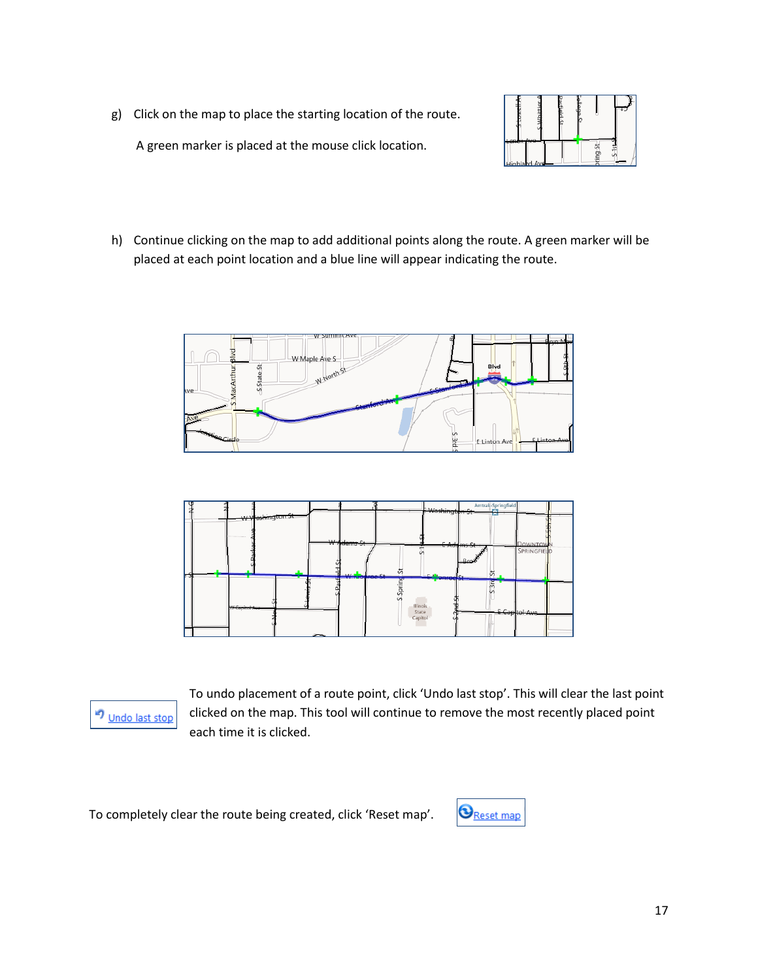g) Click on the map to place the starting location of the route.

A green marker is placed at the mouse click location.



h) Continue clicking on the map to add additional points along the route. A green marker will be placed at each point location and a blue line will appear indicating the route.







To undo placement of a route point, click 'Undo last stop'. This will clear the last point clicked on the map. This tool will continue to remove the most recently placed point each time it is clicked.

To completely clear the route being created, click 'Reset map'.

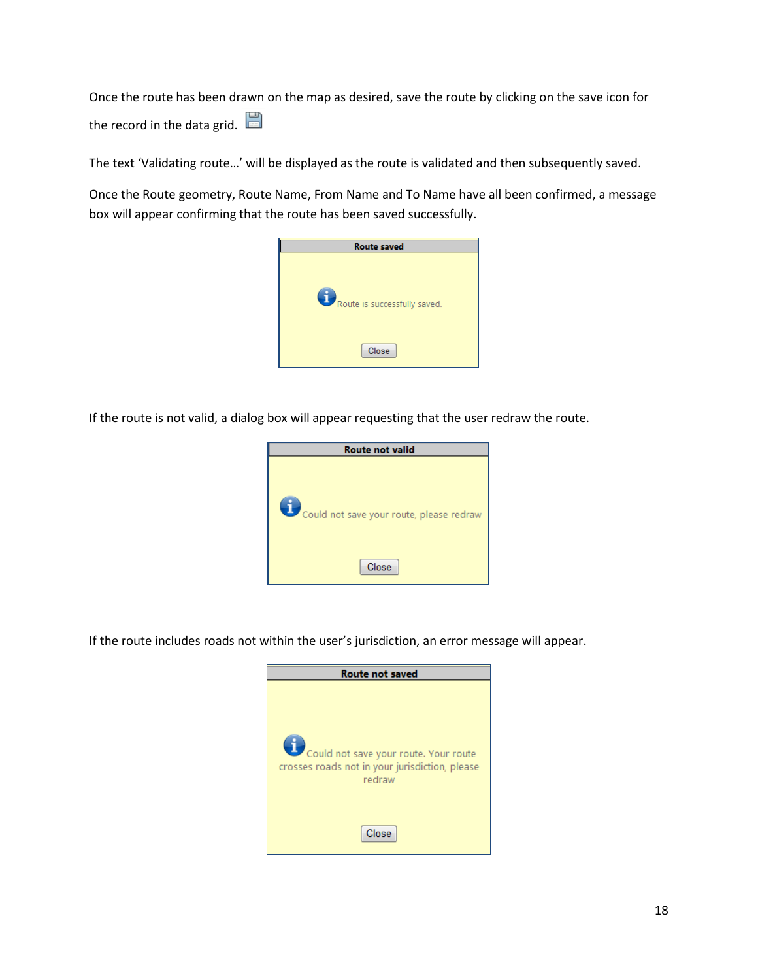Once the route has been drawn on the map as desired, save the route by clicking on the save icon for the record in the data grid.

The text 'Validating route…' will be displayed as the route is validated and then subsequently saved.

Once the Route geometry, Route Name, From Name and To Name have all been confirmed, a message box will appear confirming that the route has been saved successfully.

| <b>Route saved</b>           |
|------------------------------|
| Route is successfully saved. |
| Close                        |

If the route is not valid, a dialog box will appear requesting that the user redraw the route.



If the route includes roads not within the user's jurisdiction, an error message will appear.

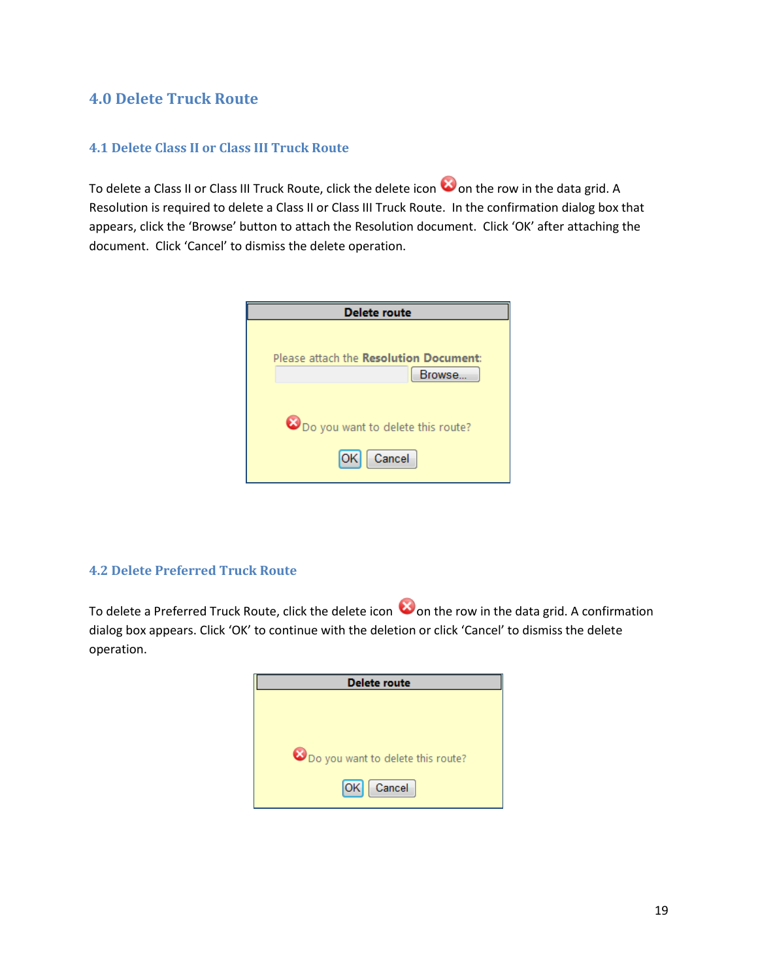#### <span id="page-19-0"></span>**4.0 Delete Truck Route**

#### <span id="page-19-1"></span>**4.1 Delete Class II or Class III Truck Route**

To delete a Class II or Class III Truck Route, click the delete icon  $\bullet$  on the row in the data grid. A Resolution is required to delete a Class II or Class III Truck Route. In the confirmation dialog box that appears, click the 'Browse' button to attach the Resolution document. Click 'OK' after attaching the document. Click 'Cancel' to dismiss the delete operation.



#### <span id="page-19-2"></span>**4.2 Delete Preferred Truck Route**

To delete a Preferred Truck Route, click the delete icon  $\bullet$  on the row in the data grid. A confirmation dialog box appears. Click 'OK' to continue with the deletion or click 'Cancel' to dismiss the delete operation.

| <b>Delete route</b>               |
|-----------------------------------|
|                                   |
|                                   |
|                                   |
| Do you want to delete this route? |
| [OK]<br>Cancel                    |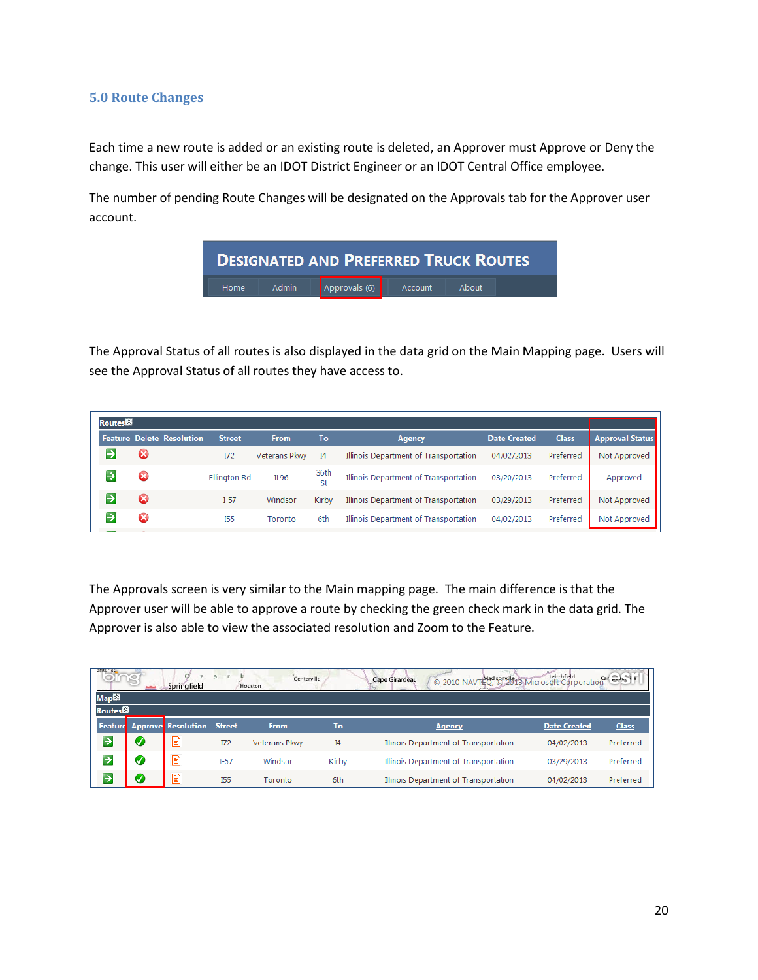#### <span id="page-20-0"></span>**5.0 Route Changes**

Each time a new route is added or an existing route is deleted, an Approver must Approve or Deny the change. This user will either be an IDOT District Engineer or an IDOT Central Office employee.

The number of pending Route Changes will be designated on the Approvals tab for the Approver user account.



The Approval Status of all routes is also displayed in the data grid on the Main Mapping page. Users will see the Approval Status of all routes they have access to.

| Routes |    |                                  |               |                      |            |                                       |                     |              |                        |
|--------|----|----------------------------------|---------------|----------------------|------------|---------------------------------------|---------------------|--------------|------------------------|
|        |    | <b>Feature Delete Resolution</b> | <b>Street</b> | <b>From</b>          | To         | <b>Agency</b>                         | <b>Date Created</b> | <b>Class</b> | <b>Approval Status</b> |
|        | ပေ |                                  | $\Pi$         | <b>Veterans Pkwy</b> | I4         | Illinois Department of Transportation | 04/02/2013          | Preferred    | Not Approved           |
|        | ×  |                                  | Ellington Rd  | <b>IL96</b>          | 36th<br>St | Illinois Department of Transportation | 03/20/2013          | Preferred    | Approved               |
|        | æ  |                                  | $I-57$        | Windsor              | Kirby      | Illinois Department of Transportation | 03/29/2013          | Preferred    | Not Approved           |
|        | Ø  |                                  | <b>I55</b>    | Toronto              | 6th        | Illinois Department of Transportation | 04/02/2013          | Preferred    | Not Approved           |

The Approvals screen is very similar to the Main mapping page. The main difference is that the Approver user will be able to approve a route by checking the green check mark in the data grid. The Approver is also able to view the associated resolution and Zoom to the Feature.

|                  |   | Springfield                       | a             | Centerville<br>Houston |       | 2010 NAVTEQ CONSTITUTION Microsoft Corporation Car Cast<br>Cape Girardeau |                     |              |
|------------------|---|-----------------------------------|---------------|------------------------|-------|---------------------------------------------------------------------------|---------------------|--------------|
| Map <sup>2</sup> |   |                                   |               |                        |       |                                                                           |                     |              |
| Routes           |   |                                   |               |                        |       |                                                                           |                     |              |
|                  |   | <b>Feature</b> Approve Resolution | <b>Street</b> | From                   | To    | Agency                                                                    | <b>Date Created</b> | <b>Class</b> |
| $\rightarrow$    | V | $\mathbb{E}$                      | $\Pi$         | Veterans Pkwy          | I4    | Illinois Department of Transportation                                     | 04/02/2013          | Preferred    |
| $\rightarrow$    | Ø | E                                 | $I-57$        | Windsor                | Kirby | Illinois Department of Transportation                                     | 03/29/2013          | Preferred    |
| →                | Ø | e                                 | <b>I55</b>    | Toronto                | 6th   | Illinois Department of Transportation                                     | 04/02/2013          | Preferred    |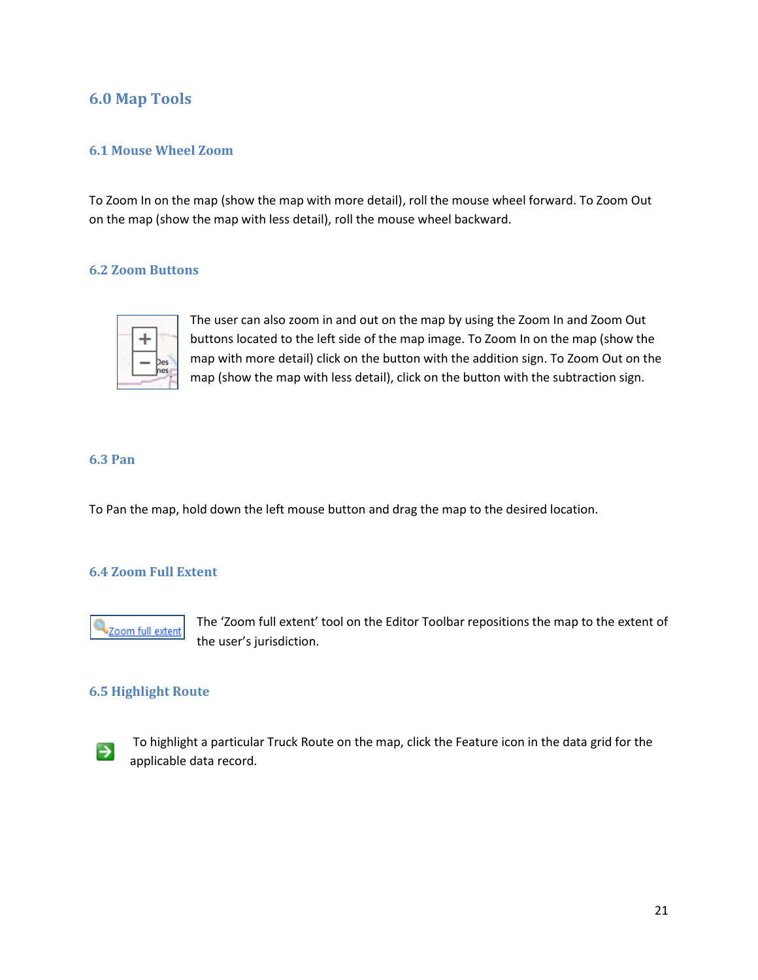#### <span id="page-21-0"></span>**6.0 Map Tools**

#### <span id="page-21-1"></span>**6.1 Mouse Wheel Zoom**

To Zoom In on the map (show the map with more detail), roll the mouse wheel forward. To Zoom Out on the map (show the map with less detail), roll the mouse wheel backward.

#### <span id="page-21-2"></span>**6.2 Zoom Buttons**



The user can also zoom in and out on the map by using the Zoom In and Zoom Out buttons located to the left side of the map image. To Zoom In on the map (show the map with more detail) click on the button with the addition sign. To Zoom Out on the map (show the map with less detail), click on the button with the subtraction sign.

#### <span id="page-21-3"></span>**6.3 Pan**

To Pan the map, hold down the left mouse button and drag the map to the desired location.

#### <span id="page-21-4"></span>**6.4 Zoom Full Extent**



The 'Zoom full extent' tool on the Editor Toolbar repositions the map to the extent of the user's jurisdiction.

#### <span id="page-21-5"></span>**6.5 Highlight Route**



To highlight a particular Truck Route on the map, click the Feature icon in the data grid for the applicable data record.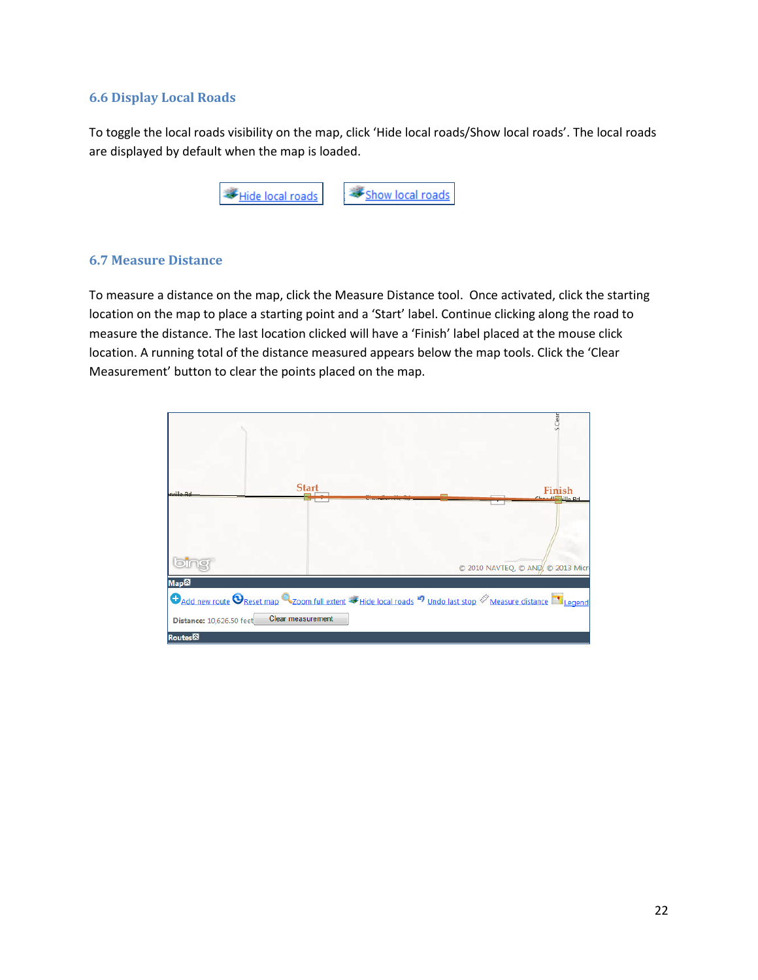#### <span id="page-22-0"></span>**6.6 Display Local Roads**

To toggle the local roads visibility on the map, click 'Hide local roads/Show local roads'. The local roads are displayed by default when the map is loaded.



#### <span id="page-22-1"></span>**6.7 Measure Distance**

To measure a distance on the map, click the Measure Distance tool. Once activated, click the starting location on the map to place a starting point and a 'Start' label. Continue clicking along the road to measure the distance. The last location clicked will have a 'Finish' label placed at the mouse click location. A running total of the distance measured appears below the map tools. Click the 'Clear Measurement' button to clear the points placed on the map.

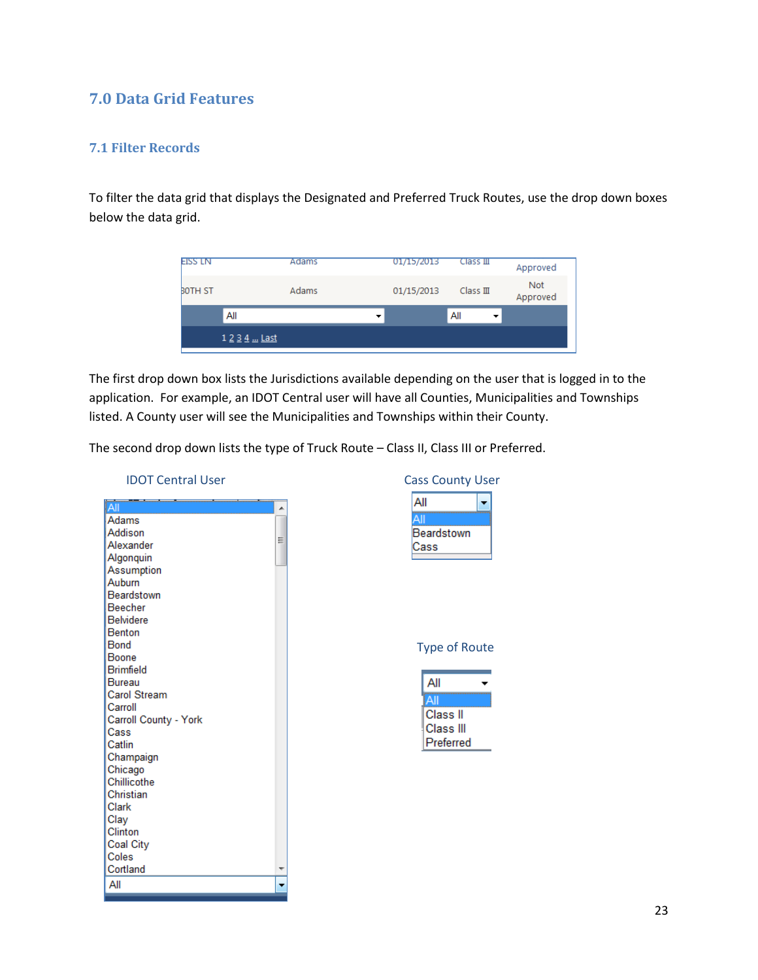#### <span id="page-23-0"></span>**7.0 Data Grid Features**

#### <span id="page-23-1"></span>**7.1 Filter Records**

To filter the data grid that displays the Designated and Preferred Truck Routes, use the drop down boxes below the data grid.

| <b>EISS LN</b> | Adams         | 01/15/2013 | $Class \mathbb{H}$ | Approved        |
|----------------|---------------|------------|--------------------|-----------------|
| <b>BOTH ST</b> | Adams         | 01/15/2013 | $Class \mathbb{I}$ | Not<br>Approved |
|                | All           |            | All                |                 |
|                | 1 2 3 4  Last |            |                    |                 |

The first drop down box lists the Jurisdictions available depending on the user that is logged in to the application. For example, an IDOT Central user will have all Counties, Municipalities and Townships listed. A County user will see the Municipalities and Townships within their County.

The second drop down lists the type of Truck Route – Class II, Class III or Preferred.

| <b>IDOT Central User</b> | <b>Cass County User</b> |
|--------------------------|-------------------------|
| IAII                     | All                     |
| <b>Adams</b>             | All                     |
| Addison                  | Beardstown              |
| Ξ<br>Alexander           | Cass                    |
| Algonquin                |                         |
| Assumption               |                         |
| Auburn                   |                         |
| Beardstown               |                         |
| Beecher                  |                         |
| <b>Belvidere</b>         |                         |
| <b>Benton</b>            |                         |
| Bond                     | <b>Type of Route</b>    |
| <b>Boone</b>             |                         |
| <b>Brimfield</b>         |                         |
| Bureau                   | All                     |
| Carol Stream             | All                     |
| Carroll                  | Class II                |
| Carroll County - York    |                         |
| Cass                     | Class III               |
| Catlin                   | Preferred               |
| Champaign                |                         |
| Chicago                  |                         |
| Chillicothe              |                         |
| Christian                |                         |
| Clark                    |                         |
| Clay                     |                         |
| Clinton                  |                         |
| Coal City                |                         |
| Coles                    |                         |
| Cortland                 |                         |
| All                      |                         |
|                          |                         |

| Cass County User |  |
|------------------|--|
| All              |  |
|                  |  |
| Beardstown       |  |
| Cass             |  |
|                  |  |
|                  |  |
|                  |  |
|                  |  |

#### of Route